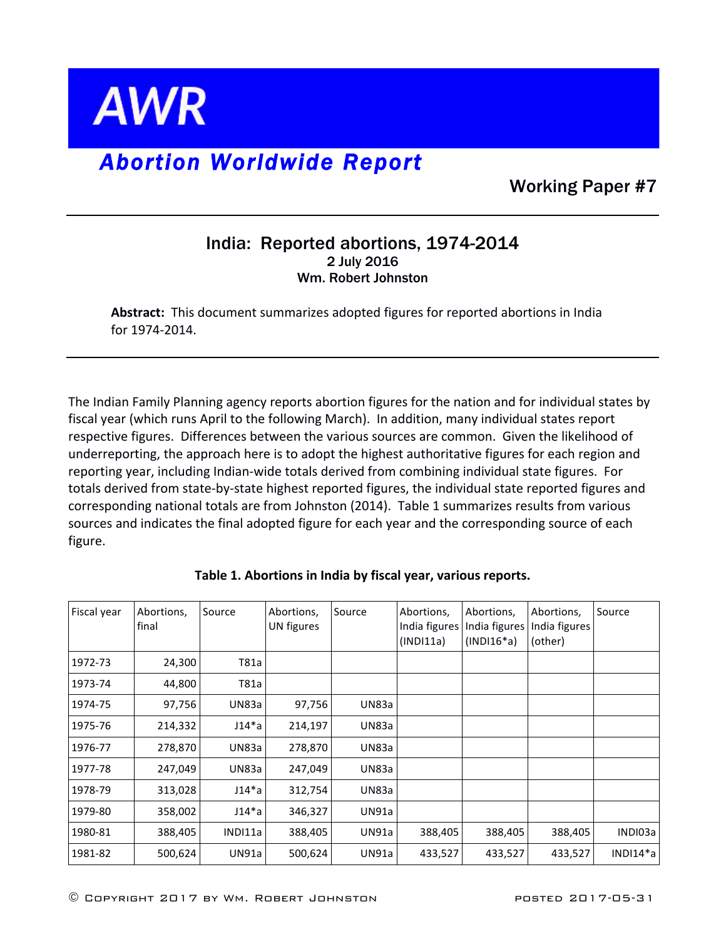

## *Abortion Worldwide Report*

Working Paper #7

## India: Reported abortions, 1974-2014 2 July 2016 Wm. Robert Johnston

Abstract: This document summarizes adopted figures for reported abortions in India for 1974-2014.

The Indian Family Planning agency reports abortion figures for the nation and for individual states by fiscal year (which runs April to the following March). In addition, many individual states report respective figures. Differences between the various sources are common. Given the likelihood of underreporting, the approach here is to adopt the highest authoritative figures for each region and reporting year, including Indian-wide totals derived from combining individual state figures. For totals derived from state-by-state highest reported figures, the individual state reported figures and corresponding national totals are from Johnston (2014). Table 1 summarizes results from various sources and indicates the final adopted figure for each year and the corresponding source of each figure.

| Fiscal year | Abortions,<br>final | Source       | Abortions,<br>UN figures | Source | Abortions,<br>India figures<br>(INDI11a) | Abortions,<br>India figures<br>$(INDI16*a)$ | Abortions,<br>India figures<br>(other) | Source   |
|-------------|---------------------|--------------|--------------------------|--------|------------------------------------------|---------------------------------------------|----------------------------------------|----------|
| 1972-73     | 24,300              | T81a         |                          |        |                                          |                                             |                                        |          |
| 1973-74     | 44,800              | T81a         |                          |        |                                          |                                             |                                        |          |
| 1974-75     | 97,756              | UN83a        | 97,756                   | UN83a  |                                          |                                             |                                        |          |
| 1975-76     | 214,332             | J14*a        | 214,197                  | UN83a  |                                          |                                             |                                        |          |
| 1976-77     | 278,870             | UN83a        | 278,870                  | UN83a  |                                          |                                             |                                        |          |
| 1977-78     | 247,049             | UN83a        | 247,049                  | UN83a  |                                          |                                             |                                        |          |
| 1978-79     | 313,028             | J14*a        | 312,754                  | UN83a  |                                          |                                             |                                        |          |
| 1979-80     | 358,002             | J14*a        | 346,327                  | UN91a  |                                          |                                             |                                        |          |
| 1980-81     | 388,405             | INDI11a      | 388,405                  | UN91a  | 388,405                                  | 388,405                                     | 388,405                                | INDI03a  |
| 1981-82     | 500,624             | <b>UN91a</b> | 500,624                  | UN91a  | 433,527                                  | 433,527                                     | 433,527                                | INDI14*a |

Table 1. Abortions in India by fiscal year, various reports.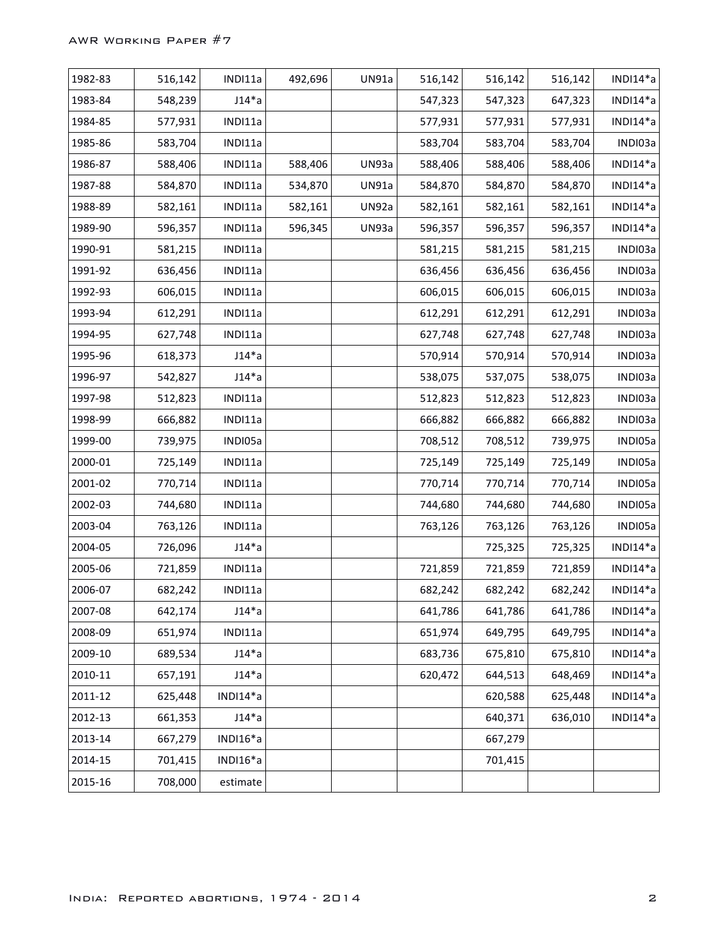| 1982-83 | 516,142 | INDI11a  | 492,696 | UN91a | 516,142 | 516,142 | 516,142 | INDI14*a    |
|---------|---------|----------|---------|-------|---------|---------|---------|-------------|
| 1983-84 | 548,239 | $J14^*a$ |         |       | 547,323 | 547,323 | 647,323 | INDI14*a    |
| 1984-85 | 577,931 | INDI11a  |         |       | 577,931 | 577,931 | 577,931 | INDI14*a    |
| 1985-86 | 583,704 | INDI11a  |         |       | 583,704 | 583,704 | 583,704 | INDI03a     |
| 1986-87 | 588,406 | INDI11a  | 588,406 | UN93a | 588,406 | 588,406 | 588,406 | INDI14*a    |
| 1987-88 | 584,870 | INDI11a  | 534,870 | UN91a | 584,870 | 584,870 | 584,870 | INDI14*a    |
| 1988-89 | 582,161 | INDI11a  | 582,161 | UN92a | 582,161 | 582,161 | 582,161 | INDI14*a    |
| 1989-90 | 596,357 | INDI11a  | 596,345 | UN93a | 596,357 | 596,357 | 596,357 | INDI14*a    |
| 1990-91 | 581,215 | INDI11a  |         |       | 581,215 | 581,215 | 581,215 | INDI03a     |
| 1991-92 | 636,456 | INDI11a  |         |       | 636,456 | 636,456 | 636,456 | INDI03a     |
| 1992-93 | 606,015 | INDI11a  |         |       | 606,015 | 606,015 | 606,015 | INDI03a     |
| 1993-94 | 612,291 | INDI11a  |         |       | 612,291 | 612,291 | 612,291 | INDI03a     |
| 1994-95 | 627,748 | INDI11a  |         |       | 627,748 | 627,748 | 627,748 | INDI03a     |
| 1995-96 | 618,373 | $J14^*a$ |         |       | 570,914 | 570,914 | 570,914 | INDI03a     |
| 1996-97 | 542,827 | $J14^*a$ |         |       | 538,075 | 537,075 | 538,075 | INDI03a     |
| 1997-98 | 512,823 | INDI11a  |         |       | 512,823 | 512,823 | 512,823 | INDI03a     |
| 1998-99 | 666,882 | INDI11a  |         |       | 666,882 | 666,882 | 666,882 | INDI03a     |
| 1999-00 | 739,975 | INDI05a  |         |       | 708,512 | 708,512 | 739,975 | INDI05a     |
| 2000-01 | 725,149 | INDI11a  |         |       | 725,149 | 725,149 | 725,149 | INDI05a     |
| 2001-02 | 770,714 | INDI11a  |         |       | 770,714 | 770,714 | 770,714 | INDI05a     |
| 2002-03 | 744,680 | INDI11a  |         |       | 744,680 | 744,680 | 744,680 | INDI05a     |
| 2003-04 | 763,126 | INDI11a  |         |       | 763,126 | 763,126 | 763,126 | INDI05a     |
| 2004-05 | 726,096 | $J14^*a$ |         |       |         | 725,325 | 725,325 | INDI14*a    |
| 2005-06 | 721,859 | INDI11a  |         |       | 721,859 | 721,859 | 721,859 | INDI14*a    |
| 2006-07 | 682,242 | INDI11a  |         |       | 682,242 | 682,242 | 682,242 | $INDI14*a$  |
| 2007-08 | 642,174 | $J14^*a$ |         |       | 641,786 | 641,786 | 641,786 | INDI14*a    |
| 2008-09 | 651,974 | INDI11a  |         |       | 651,974 | 649,795 | 649,795 | INDI14*a    |
| 2009-10 | 689,534 | $J14^*a$ |         |       | 683,736 | 675,810 | 675,810 | INDI14*a    |
| 2010-11 | 657,191 | $J14^*a$ |         |       | 620,472 | 644,513 | 648,469 | $INDI14^*a$ |
| 2011-12 | 625,448 | INDI14*a |         |       |         | 620,588 | 625,448 | INDI14*a    |
| 2012-13 | 661,353 | $J14^*a$ |         |       |         | 640,371 | 636,010 | INDI14*a    |
| 2013-14 | 667,279 | INDI16*a |         |       |         | 667,279 |         |             |
| 2014-15 | 701,415 | INDI16*a |         |       |         | 701,415 |         |             |
| 2015-16 | 708,000 | estimate |         |       |         |         |         |             |